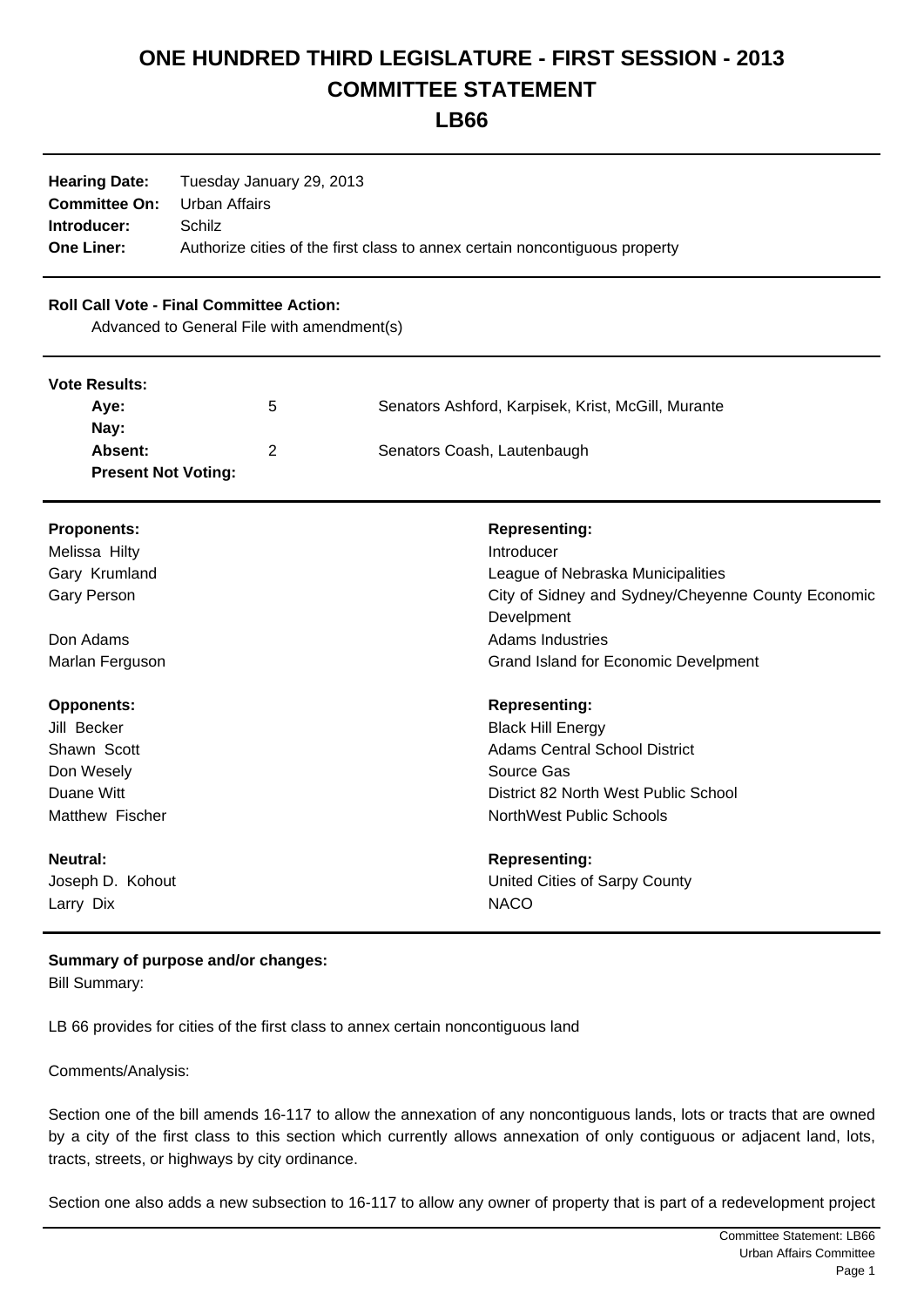## **ONE HUNDRED THIRD LEGISLATURE - FIRST SESSION - 2013 COMMITTEE STATEMENT**

**LB66**

| <b>Hearing Date:</b><br><b>Committee On:</b><br>Introducer:<br><b>One Liner:</b>              | Tuesday January 29, 2013<br><b>Urban Affairs</b><br>Schilz | Authorize cities of the first class to annex certain noncontiguous property |
|-----------------------------------------------------------------------------------------------|------------------------------------------------------------|-----------------------------------------------------------------------------|
| <b>Roll Call Vote - Final Committee Action:</b><br>Advanced to General File with amendment(s) |                                                            |                                                                             |
| <b>Vote Results:</b>                                                                          |                                                            |                                                                             |
| Aye:                                                                                          | 5                                                          | Senators Ashford, Karpisek, Krist, McGill, Murante                          |
| Nay:                                                                                          |                                                            |                                                                             |
| Absent:<br><b>Present Not Voting:</b>                                                         | $\overline{2}$                                             | Senators Coash, Lautenbaugh                                                 |
| <b>Proponents:</b>                                                                            |                                                            | <b>Representing:</b>                                                        |
| Melissa Hilty                                                                                 |                                                            | Introducer                                                                  |
| Gary Krumland                                                                                 |                                                            | League of Nebraska Municipalities                                           |
| <b>Gary Person</b>                                                                            |                                                            | City of Sidney and Sydney/Cheyenne County Economic                          |
|                                                                                               |                                                            | Develpment                                                                  |
| Don Adams                                                                                     |                                                            | <b>Adams Industries</b>                                                     |
| Marlan Ferguson                                                                               |                                                            | Grand Island for Economic Develpment                                        |
| <b>Opponents:</b>                                                                             |                                                            | <b>Representing:</b>                                                        |
| Jill Becker                                                                                   |                                                            | <b>Black Hill Energy</b>                                                    |
| Shawn Scott                                                                                   |                                                            | <b>Adams Central School District</b>                                        |
| Don Wesely                                                                                    |                                                            | Source Gas                                                                  |
| Duane Witt<br>Matthew Fischer                                                                 |                                                            | District 82 North West Public School<br><b>NorthWest Public Schools</b>     |
|                                                                                               |                                                            |                                                                             |
| <b>Neutral:</b>                                                                               |                                                            | <b>Representing:</b>                                                        |
| Joseph D. Kohout                                                                              |                                                            | United Cities of Sarpy County                                               |
| Larry Dix                                                                                     |                                                            | <b>NACO</b>                                                                 |

## **Summary of purpose and/or changes:**

Bill Summary:

LB 66 provides for cities of the first class to annex certain noncontiguous land

Comments/Analysis:

Section one of the bill amends 16-117 to allow the annexation of any noncontiguous lands, lots or tracts that are owned by a city of the first class to this section which currently allows annexation of only contiguous or adjacent land, lots, tracts, streets, or highways by city ordinance.

Section one also adds a new subsection to 16-117 to allow any owner of property that is part of a redevelopment project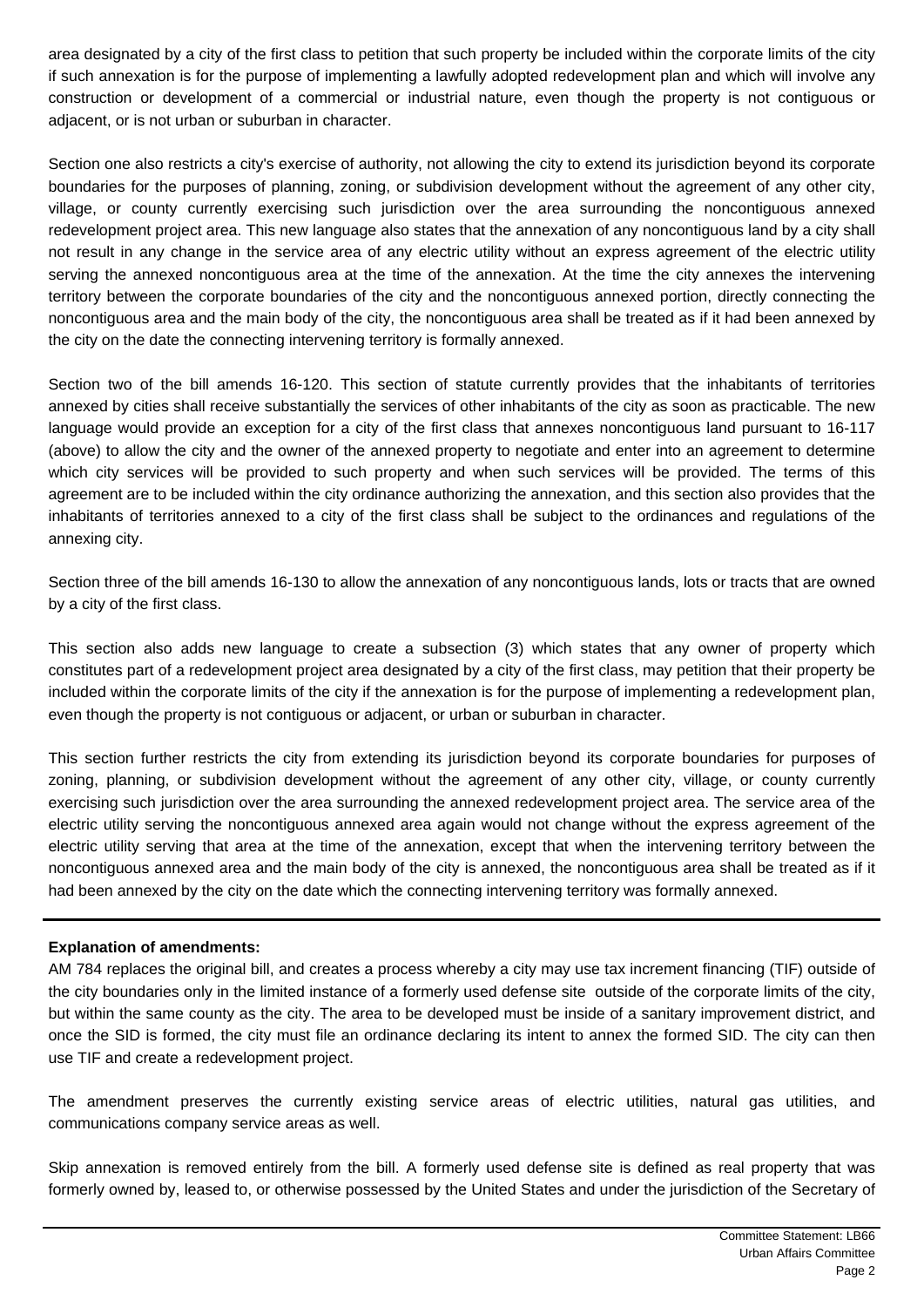area designated by a city of the first class to petition that such property be included within the corporate limits of the city if such annexation is for the purpose of implementing a lawfully adopted redevelopment plan and which will involve any construction or development of a commercial or industrial nature, even though the property is not contiguous or adjacent, or is not urban or suburban in character.

Section one also restricts a city's exercise of authority, not allowing the city to extend its jurisdiction beyond its corporate boundaries for the purposes of planning, zoning, or subdivision development without the agreement of any other city, village, or county currently exercising such jurisdiction over the area surrounding the noncontiguous annexed redevelopment project area. This new language also states that the annexation of any noncontiguous land by a city shall not result in any change in the service area of any electric utility without an express agreement of the electric utility serving the annexed noncontiguous area at the time of the annexation. At the time the city annexes the intervening territory between the corporate boundaries of the city and the noncontiguous annexed portion, directly connecting the noncontiguous area and the main body of the city, the noncontiguous area shall be treated as if it had been annexed by the city on the date the connecting intervening territory is formally annexed.

Section two of the bill amends 16-120. This section of statute currently provides that the inhabitants of territories annexed by cities shall receive substantially the services of other inhabitants of the city as soon as practicable. The new language would provide an exception for a city of the first class that annexes noncontiguous land pursuant to 16-117 (above) to allow the city and the owner of the annexed property to negotiate and enter into an agreement to determine which city services will be provided to such property and when such services will be provided. The terms of this agreement are to be included within the city ordinance authorizing the annexation, and this section also provides that the inhabitants of territories annexed to a city of the first class shall be subject to the ordinances and regulations of the annexing city.

Section three of the bill amends 16-130 to allow the annexation of any noncontiguous lands, lots or tracts that are owned by a city of the first class.

This section also adds new language to create a subsection (3) which states that any owner of property which constitutes part of a redevelopment project area designated by a city of the first class, may petition that their property be included within the corporate limits of the city if the annexation is for the purpose of implementing a redevelopment plan, even though the property is not contiguous or adjacent, or urban or suburban in character.

This section further restricts the city from extending its jurisdiction beyond its corporate boundaries for purposes of zoning, planning, or subdivision development without the agreement of any other city, village, or county currently exercising such jurisdiction over the area surrounding the annexed redevelopment project area. The service area of the electric utility serving the noncontiguous annexed area again would not change without the express agreement of the electric utility serving that area at the time of the annexation, except that when the intervening territory between the noncontiguous annexed area and the main body of the city is annexed, the noncontiguous area shall be treated as if it had been annexed by the city on the date which the connecting intervening territory was formally annexed.

## **Explanation of amendments:**

AM 784 replaces the original bill, and creates a process whereby a city may use tax increment financing (TIF) outside of the city boundaries only in the limited instance of a formerly used defense site outside of the corporate limits of the city, but within the same county as the city. The area to be developed must be inside of a sanitary improvement district, and once the SID is formed, the city must file an ordinance declaring its intent to annex the formed SID. The city can then use TIF and create a redevelopment project.

The amendment preserves the currently existing service areas of electric utilities, natural gas utilities, and communications company service areas as well.

Skip annexation is removed entirely from the bill. A formerly used defense site is defined as real property that was formerly owned by, leased to, or otherwise possessed by the United States and under the jurisdiction of the Secretary of